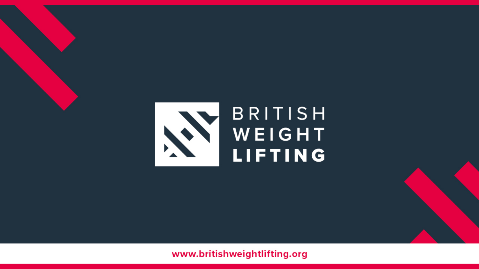

#### www.britishweightlifting.org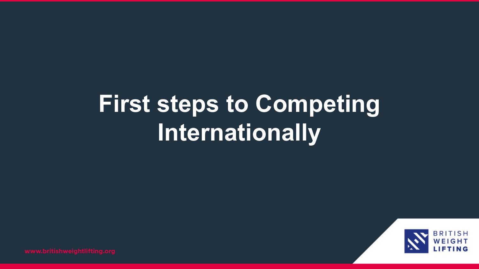# **First steps to Competing Internationally**

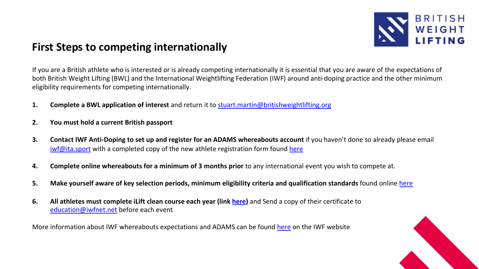

### **First Steps to competing internationally**

If you are a British athlete who is interested or is already competing internationally it is essential that you are aware of the exp both British Weight Lifting (BWL) and the International Weightlifting Federation (IWF) around anti-doping practice and the other eligibility requirements for competing internationally.

- **1. Complete a BWL application of interest** and return it to stuart.martin@britishweightlifting.org
- **2. You must hold a current British passport**
- **3.** Contact IWF Anti-Doping to set up and register for an ADAMS whereabouts account if you haven't done so already please iwf@ita.sport with a completed copy of the new athlete registration form found here
- **4. Complete online whereabouts for a minimum of 3 months prior** to any international event you wish to compete at.
- **5. Make yourself aware of key selection periods, minimum eligibility criteria and qualification standards** found online here
- **6. All athletes must complete iLift clean course each year (link here)** and Send a copy of their certificate to education@iwfnet.net before each event

More information about IWF whereabouts expectations and ADAMS can be found here on the IWF website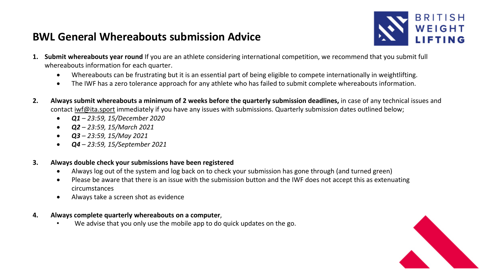

## **BWL General Whereabouts submission Advice**

- 1. Submit whereabouts year round If you are an athlete considering international competition, we recommend that you sub whereabouts information for each quarter.
	- Whereabouts can be frustrating but it is an essential part of being eligible to compete internationally in weightlift
	- The IWF has a zero tolerance approach for any athlete who has failed to submit complete whereabouts information.
- 2. Always submit whereabouts a minimum of 2 weeks before the quarterly submission deadlines, in case of any technica contact iwf@ita.sport immediately if you have any issues with submissions. Quarterly submission dates outlined below;
	- *Q1 – 23:59, 15/December 2020*
	- *Q2 – 23:59, 15/March 2021*
	- *Q3 – 23:59, 15/May 2021*
	- *Q4 – 23:59, 15/September 2021*

#### **3. Always double check your submissions have been registered**

- Always log out of the system and log back on to check your submission has gone through (and turned green)
- Please be aware that there is an issue with the submission button and the IWF does not accept this as extenuating circumstances
- Always take a screen shot as evidence
- **4. Always complete quarterly whereabouts on a computer**,
	- We advise that you only use the mobile app to do quick updates on the go.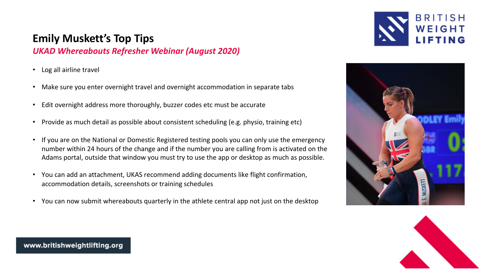#### **Emily Muskett's Top Tips**

*UKAD Whereabouts Refresher Webinar (August 2020)*

- Log all airline travel
- Make sure you enter overnight travel and overnight accommodation in separate tabs
- Edit overnight address more thoroughly, buzzer codes etc must be accurate
- Provide as much detail as possible about consistent scheduling (e.g. physio, training etc)
- If you are on the National or Domestic Registered testing pools you can only use the emergency number within 24 hours of the change and if the number you are calling from is activated on the Adams portal, outside that window you must try to use the app or desktop as much as possible.
- You can add an attachment, UKAS recommend adding documents like flight confirmation, accommodation details, screenshots or training schedules
- You can now submit whereabouts quarterly in the athlete central app not just on the desktop